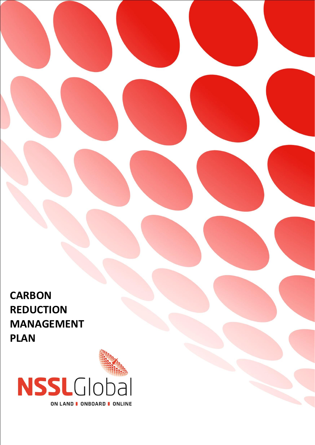**CARBON REDUCTION MANAGEMENT PLAN**

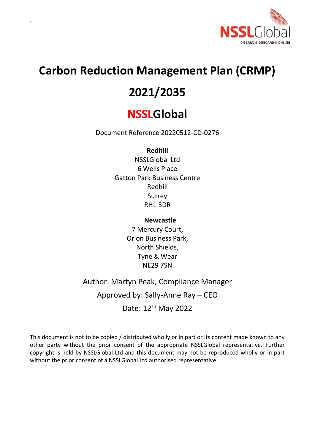

# **Carbon Reduction Management Plan (CRMP)**

# **2021/2035**

# **NSSLGlobal**

Document Reference 20220512-CD-0276

# **Redhill**

NSSLGlobal Ltd 6 Wells Place Gatton Park Business Centre Redhill Surrey RH1 3DR

# **Newcastle**

7 Mercury Court, Orion Business Park, North Shields, Tyne & Wear NE29 7SN

# Author: Martyn Peak, Compliance Manager

Approved by: Sally-Anne Ray – CEO

Date: 12th May 2022

<span id="page-1-0"></span>This document is not to be copied / distributed wholly or in part or its content made known to any other party without the prior consent of the appropriate NSSLGlobal representative. Further copyright is held by NSSLGlobal Ltd and this document may not be reproduced wholly or in part without the prior consent of a NSSLGlobal Ltd authorised representative.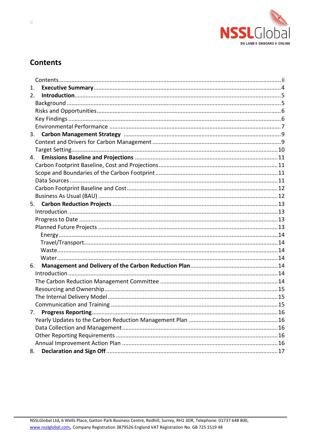

# **Contents**

| 1. |  |
|----|--|
| 2. |  |
|    |  |
|    |  |
|    |  |
|    |  |
|    |  |
|    |  |
|    |  |
| 4. |  |
|    |  |
|    |  |
|    |  |
|    |  |
|    |  |
| 5. |  |
|    |  |
|    |  |
|    |  |
|    |  |
|    |  |
|    |  |
|    |  |
| 6. |  |
|    |  |
|    |  |
|    |  |
|    |  |
|    |  |
|    |  |
|    |  |
|    |  |
|    |  |
|    |  |
| 8. |  |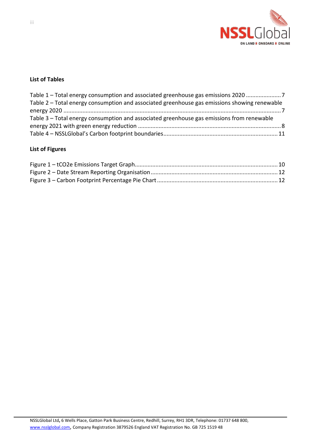

#### **List of Tables**

| Table 1 – Total energy consumption and associated greenhouse gas emissions 2020              |  |
|----------------------------------------------------------------------------------------------|--|
| Table 2 – Total energy consumption and associated greenhouse gas emissions showing renewable |  |
|                                                                                              |  |
| Table 3 – Total energy consumption and associated greenhouse gas emissions from renewable    |  |
|                                                                                              |  |
|                                                                                              |  |

# **List of Figures**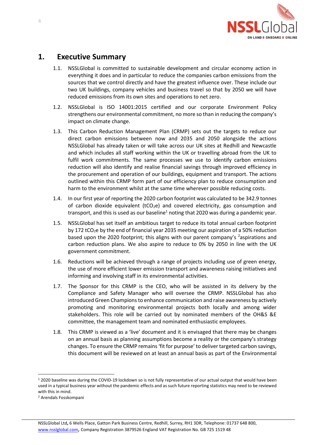

# <span id="page-4-0"></span>**1. Executive Summary**

- 1.1. NSSLGlobal is committed to sustainable development and circular economy action in everything it does and in particular to reduce the companies carbon emissions from the sources that we control directly and have the greatest influence over. These include our two UK buildings, company vehicles and business travel so that by 2050 we will have reduced emissions from its own sites and operations to net zero.
- 1.2. NSSLGlobal is ISO 14001:2015 certified and our corporate Environment Policy strengthens our environmental commitment, no more so than in reducing the company's impact on climate change.
- 1.3. This Carbon Reduction Management Plan (CRMP) sets out the targets to reduce our direct carbon emissions between now and 2035 and 2050 alongside the actions NSSLGlobal has already taken or will take across our UK sites at Redhill and Newcastle and which includes all staff working within the UK or travelling abroad from the UK to fulfil work commitments. The same processes we use to identify carbon emissions reduction will also identify and realise financial savings through improved efficiency in the procurement and operation of our buildings, equipment and transport. The actions outlined within this CRMP form part of our efficiency plan to reduce consumption and harm to the environment whilst at the same time wherever possible reducing costs.
- 1.4. In our first year of reporting the 2020 carbon footprint was calculated to be 342.9 tonnes of carbon dioxide equivalent ( $tCO<sub>2</sub>e$ ) and covered electricity, gas consumption and transport, and this is used as our baseline<sup>1</sup> noting that 2020 was during a pandemic year.
- 1.5. NSSLGlobal has set itself an ambitious target to reduce its total annual carbon footprint by 172 tCO<sub>2</sub>e by the end of financial year 2035 meeting our aspiration of a 50% reduction based upon the 2020 footprint; this aligns with our parent company's <sup>2</sup>aspirations and carbon reduction plans. We also aspire to reduce to 0% by 2050 in line with the UK government commitment.
- 1.6. Reductions will be achieved through a range of projects including use of green energy, the use of more efficient lower emission transport and awareness raising initiatives and informing and involving staff in its environmental activities.
- 1.7. The Sponsor for this CRMP is the CEO, who will be assisted in its delivery by the Compliance and Safety Manager who will oversee the CRMP. NSSLGlobal has also introduced Green Champions to enhance communication and raise awareness by actively promoting and monitoring environmental projects both locally and among wider stakeholders. This role will be carried out by nominated members of the OH&S &E committee, the management team and nominated enthusiastic employees.
- 1.8. This CRMP is viewed as a 'live' document and it is envisaged that there may be changes on an annual basis as planning assumptions become a reality or the company's strategy changes. To ensure the CRMP remains 'fit for purpose' to deliver targeted carbon savings, this document will be reviewed on at least an annual basis as part of the Environmental

<sup>1</sup> 2020 baseline was during the COVID-19 lockdown so is not fully representative of our actual output that would have been used in a typical business year without the pandemic effects and as such future reporting statistics may need to be reviewed with this in mind.

<sup>2</sup> Arendals Fosskompani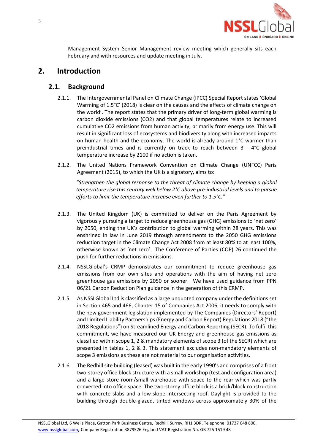

Management System Senior Management review meeting which generally sits each February and with resources and update meeting in July.

# <span id="page-5-1"></span><span id="page-5-0"></span>**2. Introduction**

# **2.1. Background**

- 2.1.1. The Intergovernmental Panel on Climate Change (IPCC) Special Report states 'Global Warming of 1.5°C' (2018) is clear on the causes and the effects of climate change on the world'. The report states that the primary driver of long-term global warming is carbon dioxide emissions (CO2) and that global temperatures relate to increased cumulative CO2 emissions from human activity, primarily from energy use. This will result in significant loss of ecosystems and biodiversity along with increased impacts on human health and the economy. The world is already around 1°C warmer than preindustrial times and is currently on track to reach between 3 - 4°C global temperature increase by 2100 if no action is taken.
- 2.1.2. The United Nations Framework Convention on Climate Change (UNFCC) Paris Agreement (2015), to which the UK is a signatory, aims to:

*"Strengthen the global response to the threat of climate change by keeping a global temperature rise this century well below 2°C above pre-industrial levels and to pursue efforts to limit the temperature increase even further to 1.5°C."*

- 2.1.3. The United Kingdom (UK) is committed to deliver on the Paris Agreement by vigorously pursuing a target to reduce greenhouse gas (GHG) emissions to 'net zero' by 2050, ending the UK's contribution to global warming within 28 years. This was enshrined in law in June 2019 through amendments to the 2050 GHG emissions reduction target in the Climate Change Act 2008 from at least 80% to at least 100%, otherwise known as 'net zero'. The Conference of Parties (COP) 26 continued the push for further reductions in emissions.
- 2.1.4. NSSLGlobal's CRMP demonstrates our commitment to reduce greenhouse gas emissions from our own sites and operations with the aim of having net zero greenhouse gas emissions by 2050 or sooner. We have used guidance from PPN 06/21 Carbon Reduction Plan guidance in the generation of this CRMP.
- 2.1.5. As NSSLGlobal Ltd is classified as a large unquoted company under the definitions set in Section 465 and 466, Chapter 15 of Companies Act 2006, it needs to comply with the new government legislation implemented by The Companies (Directors' Report) and Limited Liability Partnerships (Energy and Carbon Report) Regulations 2018 ("the 2018 Regulations") on Streamlined Energy and Carbon Reporting (SECR). To fulfil this commitment, we have measured our UK Energy and greenhouse gas emissions as classified within scope 1, 2 & mandatory elements of scope 3 (of the SECR) which are presented in tables 1, 2 & 3. This statement excludes non-mandatory elements of scope 3 emissions as these are not material to our organisation activities.
- 2.1.6. The Redhill site building (leased) was built in the early 1990's and comprises of a front two-storey office block structure with a small workshop (test and configuration area) and a large store room/small warehouse with space to the rear which was partly converted into office space. The two-storey office block is a brick/block construction with concrete slabs and a low-slope intersecting roof. Daylight is provided to the building through double-glazed, tinted windows across approximately 30% of the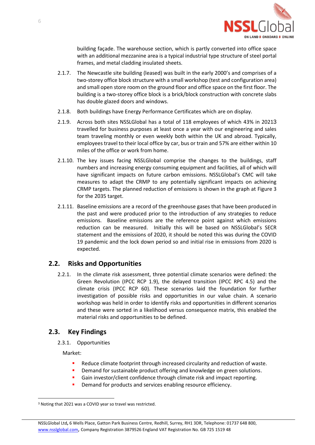

building façade. The warehouse section, which is partly converted into office space with an additional mezzanine area is a typical industrial type structure of steel portal frames, and metal cladding insulated sheets.

- 2.1.7. The Newcastle site building (leased) was built in the early 2000's and comprises of a two-storey office block structure with a small workshop (test and configuration area) and small open store room on the ground floor and office space on the first floor. The building is a two-storey office block is a brick/block construction with concrete slabs has double glazed doors and windows.
- 2.1.8. Both buildings have Energy Performance Certificates which are on display.
- 2.1.9. Across both sites NSSLGlobal has a total of 118 employees of which 43% in 20213 travelled for business purposes at least once a year with our engineering and sales team traveling monthly or even weekly both within the UK and abroad. Typically, employees travel to their local office by car, bus or train and 57% are either within 10 miles of the office or work from home.
- 2.1.10. The key issues facing NSSLGlobal comprise the changes to the buildings, staff numbers and increasing energy consuming equipment and facilities, all of which will have significant impacts on future carbon emissions. NSSLGlobal's CMC will take measures to adapt the CRMP to any potentially significant impacts on achieving CRMP targets. The planned reduction of emissions is shown in the graph at Figure 3 for the 2035 target.
- 2.1.11. Baseline emissions are a record of the greenhouse gases that have been produced in the past and were produced prior to the introduction of any strategies to reduce emissions. Baseline emissions are the reference point against which emissions reduction can be measured. Initially this will be based on NSSLGlobal's SECR statement and the emissions of 2020, it should be noted this was during the COVID 19 pandemic and the lock down period so and initial rise in emissions from 2020 is expected.

## <span id="page-6-0"></span>**2.2. Risks and Opportunities**

2.2.1. In the climate risk assessment, three potential climate scenarios were defined: the Green Revolution (IPCC RCP 1.9), the delayed transition (IPCC RPC 4.5) and the climate crisis (IPCC RCP 60). These scenarios laid the foundation for further investigation of possible risks and opportunities in our value chain. A scenario workshop was held in order to identify risks and opportunities in different scenarios and these were sorted in a likelihood versus consequence matrix, this enabled the material risks and opportunities to be defined.

## <span id="page-6-1"></span>**2.3. Key Findings**

2.3.1. Opportunities

Market:

- Reduce climate footprint through increased circularity and reduction of waste.
- Demand for sustainable product offering and knowledge on green solutions.
- Gain investor/client confidence through climate risk and impact reporting.
- **•** Demand for products and services enabling resource efficiency.

<sup>3</sup> Noting that 2021 was a COVID year so travel was restricted.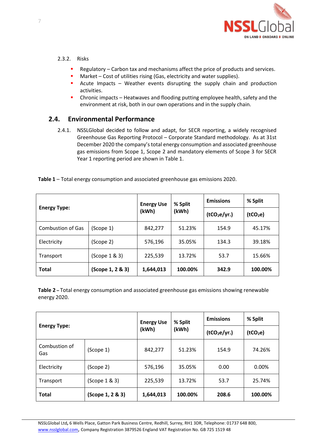

#### 2.3.2. Risks

- Regulatory Carbon tax and mechanisms affect the price of products and services.
- Market Cost of utilities rising (Gas, electricity and water supplies).
- **E** Acute Impacts Weather events disrupting the supply chain and production activities.
- **•** Chronic impacts Heatwaves and flooding putting employee health, safety and the environment at risk, both in our own operations and in the supply chain.

# <span id="page-7-0"></span>**2.4. Environmental Performance**

2.4.1. NSSLGlobal decided to follow and adapt, for SECR reporting, a widely recognised Greenhouse Gas Reporting Protocol – Corporate Standard methodology. As at 31st December 2020 the company's total energy consumption and associated greenhouse gas emissions from Scope 1, Scope 2 and mandatory elements of Scope 3 for SECR Year 1 reporting period are shown in Table 1.

| <b>Energy Type:</b>      |                  | <b>Energy Use</b><br>(kWh) | % Split<br>(kWh) | <b>Emissions</b>         | % Split              |
|--------------------------|------------------|----------------------------|------------------|--------------------------|----------------------|
|                          |                  |                            |                  | (tCO <sub>2</sub> e/yr.) | (tCO <sub>2</sub> e) |
| <b>Combustion of Gas</b> | (Scope 1)        | 842,277                    | 51.23%           | 154.9                    | 45.17%               |
| Electricity              | (Scope 2)        | 576,196                    | 35.05%           | 134.3                    | 39.18%               |
| Transport                | (Scope 1 & 3)    | 225,539                    | 13.72%           | 53.7                     | 15.66%               |
| <b>Total</b>             | (Scope 1, 2 & 3) | 1,644,013                  | 100.00%          | 342.9                    | 100.00%              |

<span id="page-7-1"></span>**Table 1** – Total energy consumption and associated greenhouse gas emissions 2020.

<span id="page-7-2"></span>**Table 2 –** Total energy consumption and associated greenhouse gas emissions showing renewable energy 2020.

| <b>Energy Type:</b>  |                  | <b>Energy Use</b><br>(kWh) | % Split<br>(kWh) | <b>Emissions</b>         | % Split              |
|----------------------|------------------|----------------------------|------------------|--------------------------|----------------------|
|                      |                  |                            |                  | (tCO <sub>2</sub> e/yr.) | (tCO <sub>2</sub> e) |
| Combustion of<br>Gas | (Scope 1)        | 842,277                    | 51.23%           | 154.9                    | 74.26%               |
| Electricity          | (Scope 2)        | 576,196                    | 35.05%           | 0.00                     | 0.00%                |
| Transport            | (Scope 1 & 3)    | 225,539                    | 13.72%           | 53.7                     | 25.74%               |
| <b>Total</b>         | (Scope 1, 2 & 3) | 1,644,013                  | 100.00%          | 208.6                    | 100.00%              |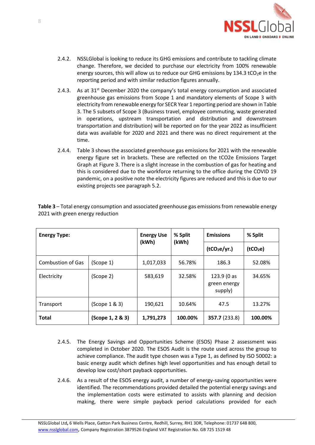

- 2.4.2. NSSLGlobal is looking to reduce its GHG emissions and contribute to tackling climate change. Therefore, we decided to purchase our electricity from 100% renewable energy sources, this will allow us to reduce our GHG emissions by  $134.3$  tCO<sub>2</sub>e in the reporting period and with similar reduction figures annually.
- 2.4.3. As at  $31<sup>st</sup>$  December 2020 the company's total energy consumption and associated greenhouse gas emissions from Scope 1 and mandatory elements of Scope 3 with electricity from renewable energy for SECR Year 1 reporting period are shown in Table 3. The 5 subsets of Scope 3 (Business travel, employee commuting, waste generated in operations, upstream transportation and distribution and downstream transportation and distribution) will be reported on for the year 2022 as insufficient data was available for 2020 and 2021 and there was no direct requirement at the time.
- 2.4.4. Table 3 shows the associated greenhouse gas emissions for 2021 with the renewable energy figure set in brackets. These are reflected on the tCO2e Emissions Target Graph at Figure 3. There is a slight increase in the combustion of gas for heating and this is considered due to the workforce returning to the office during the COVID 19 pandemic, on a positive note the electricity figures are reduced and this is due to our existing projects see paragraph 5.2.

| <b>Energy Type:</b>      |                  | <b>Energy Use</b><br>(kWh) | % Split<br>(kWh) | <b>Emissions</b>                       | % Split              |
|--------------------------|------------------|----------------------------|------------------|----------------------------------------|----------------------|
|                          |                  |                            |                  | (tCO <sub>2</sub> e/yr.)               | (tCO <sub>2</sub> e) |
| <b>Combustion of Gas</b> | (Scope 1)        | 1,017,033                  | 56.78%           | 186.3                                  | 52.08%               |
| Electricity              | (Scope 2)        | 583,619                    | 32.58%           | 123.9 (0 as<br>green energy<br>supply) | 34.65%               |
| Transport                | (Scope 1 & 3)    | 190,621                    | 10.64%           | 47.5                                   | 13.27%               |
| <b>Total</b>             | (Scope 1, 2 & 3) | 1,791,273                  | 100.00%          | 357.7 (233.8)                          | 100.00%              |

<span id="page-8-0"></span>**Table 3** – Total energy consumption and associated greenhouse gas emissions from renewable energy 2021 with green energy reduction

- 2.4.5. The Energy Savings and Opportunities Scheme (ESOS) Phase 2 assessment was completed in October 2020. The ESOS Audit is the route used across the group to achieve compliance. The audit type chosen was a Type 1, as defined by ISO 50002: a basic energy audit which defines high level opportunities and has enough detail to develop low cost/short payback opportunities.
- 2.4.6. As a result of the ESOS energy audit, a number of energy-saving opportunities were identified. The recommendations provided detailed the potential energy savings and the implementation costs were estimated to assists with planning and decision making, there were simple payback period calculations provided for each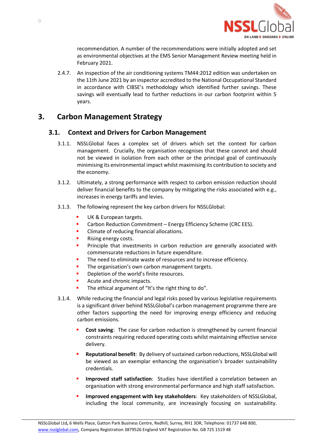

recommendation. A number of the recommendations were initially adopted and set as environmental objectives at the EMS Senior Management Review meeting held in February 2021.

2.4.7. An inspection of the air conditioning systems TM44:2012 edition was undertaken on the 11th June 2021 by an inspector accredited to the National Occupational Standard in accordance with CIBSE's methodology which identified further savings. These savings will eventually lead to further reductions in our carbon footprint within 5 years.

# <span id="page-9-1"></span><span id="page-9-0"></span>**3. Carbon Management Strategy**

#### **3.1. Context and Drivers for Carbon Management**

- 3.1.1. NSSLGlobal faces a complex set of drivers which set the context for carbon management. Crucially, the organisation recognises that these cannot and should not be viewed in isolation from each other or the principal goal of continuously minimising its environmental impact whilst maximising its contribution to society and the economy.
- 3.1.2. Ultimately, a strong performance with respect to carbon emission reduction should deliver financial benefits to the company by mitigating the risks associated with e.g., increases in energy tariffs and levies.
- 3.1.3. The following represent the key carbon drivers for NSSLGlobal:
	- UK & European targets.
	- Carbon Reduction Commitment Energy Efficiency Scheme (CRC EES).
	- Climate of reducing financial allocations.
	- Rising energy costs.
	- Principle that investments in carbon reduction are generally associated with commensurate reductions in future expenditure.
	- The need to eliminate waste of resources and to increase efficiency.
	- The organisation's own carbon management targets.
	- Depletion of the world's finite resources.
	- Acute and chronic impacts.
	- The ethical argument of "It's the right thing to do".
- 3.1.4. While reducing the financial and legal risks posed by various legislative requirements is a significant driver behind NSSLGlobal's carbon management programme there are other factors supporting the need for improving energy efficiency and reducing carbon emissions.
	- **Cost saving:** The case for carbon reduction is strengthened by current financial constraints requiring reduced operating costs whilst maintaining effective service delivery.
	- **Reputational benefit**: By delivery of sustained carbon reductions, NSSLGlobal will be viewed as an exemplar enhancing the organisation's broader sustainability credentials.
	- **Improved staff satisfaction**: Studies have identified a correlation between an organisation with strong environmental performance and high staff satisfaction.
	- Improved engagement with key stakeholders: Key stakeholders of NSSLGlobal, including the local community, are increasingly focusing on sustainability.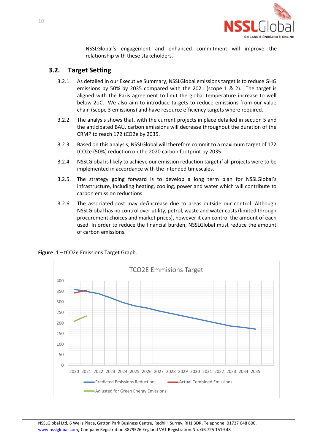

NSSLGlobal's engagement and enhanced commitment will improve the relationship with these stakeholders.

## <span id="page-10-0"></span>**3.2. Target Setting**

- 3.2.1. As detailed in our Executive Summary, NSSLGlobal emissions target is to reduce GHG emissions by 50% by 2035 compared with the 2021 (scope 1 & 2). The target is aligned with the Paris agreement to limit the global temperature increase to well below 2oC. We also aim to introduce targets to reduce emissions from our value chain (scope 3 emissions) and have resource efficiency targets where required.
- 3.2.2. The analysis shows that, with the current projects in place detailed in section [5](#page-13-0) and the anticipated BAU, carbon emissions will decrease throughout the duration of the CRMP to reach 172 tCO2e by 2035.
- 3.2.3. Based on this analysis, NSSLGlobal will therefore commit to a maximum target of 172 tCO2e (50%) reduction on the 2020 carbon footprint by 2035.
- 3.2.4. NSSLGlobal is likely to achieve our emission reduction target if all projects were to be implemented in accordance with the intended timescales.
- 3.2.5. The strategy going forward is to develop a long term plan for NSSLGlobal's infrastructure, including heating, cooling, power and water which will contribute to carbon emission reductions.
- 3.2.6. The associated cost may de/increase due to areas outside our control. Although NSSLGlobal has no control over utility, petrol, waste and water costs (limited through procurement choices and market prices), however it can control the amount of each used. In order to reduce the financial burden, NSSLGlobal must reduce the amount of carbon emissions.



<span id="page-10-1"></span>**Figure 1** – tCO2e Emissions Target Graph.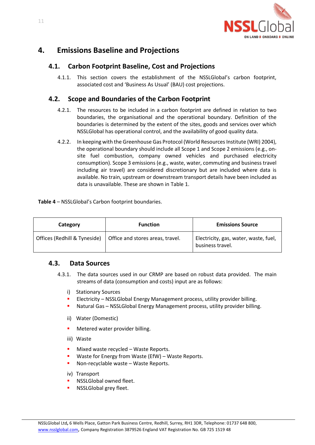

# <span id="page-11-1"></span><span id="page-11-0"></span>**4. Emissions Baseline and Projections**

## **4.1. Carbon Footprint Baseline, Cost and Projections**

4.1.1. This section covers the establishment of the NSSLGlobal's carbon footprint, associated cost and 'Business As Usual' (BAU) cost projections.

## <span id="page-11-2"></span>**4.2. Scope and Boundaries of the Carbon Footprint**

- 4.2.1. The resources to be included in a carbon footprint are defined in relation to two boundaries, the organisational and the operational boundary. Definition of the boundaries is determined by the extent of the sites, goods and services over which NSSLGlobal has operational control, and the availability of good quality data.
- 4.2.2. In keeping with the Greenhouse Gas Protocol (World Resources Institute (WRI) 2004), the operational boundary should include all Scope 1 and Scope 2 emissions (e.g., onsite fuel combustion, company owned vehicles and purchased electricity consumption). Scope 3 emissions (e.g., waste, water, commuting and business travel including air travel) are considered discretionary but are included where data is available. No train, upstream or downstream transport details have been included as data is unavailable. These are shown i[n Table](#page-7-1) 1.

<span id="page-11-4"></span>**Table 4** – NSSLGlobal's Carbon footprint boundaries.

| Category                     | <b>Function</b>                  | <b>Emissions Source</b>                                   |
|------------------------------|----------------------------------|-----------------------------------------------------------|
| Offices (Redhill & Tyneside) | Office and stores areas, travel. | Electricity, gas, water, waste, fuel,<br>business travel. |

#### <span id="page-11-3"></span>**4.3. Data Sources**

- 4.3.1. The data sources used in our CRMP are based on robust data provided. The main streams of data (consumption and costs) input are as follows:
	- i) Stationary Sources
	- **Electricity NSSLGlobal Energy Management process, utility provider billing.**
	- Natural Gas NSSLGlobal Energy Management process, utility provider billing.
	- ii) Water (Domestic)
	- Metered water provider billing.
	- iii) Waste
	- **■** Mixed waste recycled Waste Reports.
	- Waste for Energy from Waste (EfW) Waste Reports.
	- Non-recyclable waste Waste Reports.
	- iv) Transport
	- NSSLGlobal owned fleet.
	- NSSLGlobal grey fleet.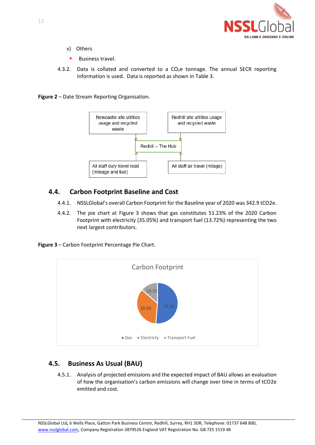

- v) Others
- **■** Business travel.
- 4.3.2. Data is collated and converted to a  $CO<sub>2</sub>e$  tonnage. The annual SECR reporting information is used. Data is reported as shown i[n Table 3.](#page-8-0)

<span id="page-12-2"></span>**Figure 2** – Date Stream Reporting Organisation.



## <span id="page-12-0"></span>**4.4. Carbon Footprint Baseline and Cost**

- 4.4.1. NSSLGlobal's overall Carbon Footprint for the Baseline year of 2020 was 342.9 tCO2e.
- 4.4.2. The pie chart at [Figure 3](#page-12-3) shows that gas constitutes 51.23% of the 2020 Carbon Footprint with electricity (35.05%) and transport fuel (13.72%) representing the two next largest contributors.

<span id="page-12-3"></span>**Figure 3** – Carbon Footprint Percentage Pie Chart.



# <span id="page-12-1"></span>**4.5. Business As Usual (BAU)**

4.5.1. Analysis of projected emissions and the expected impact of BAU allows an evaluation of how the organisation's carbon emissions will change over time in terms of tCO2e emitted and cost.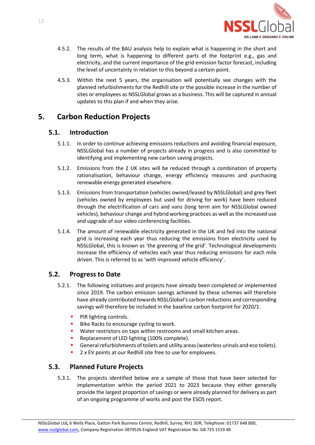

- 4.5.2. The results of the BAU analysis help to explain what is happening in the short and long term, what is happening to different parts of the footprint e.g., gas and electricity, and the current importance of the grid emission factor forecast, including the level of uncertainty in relation to this beyond a certain point.
- 4.5.3. Within the next 5 years, the organisation will potentially see changes with the planned refurbishments for the Redhill site or the possible increase in the number of sites or employees as NSSLGlobal grows as a business. This will be captured in annual updates to this plan if and when they arise.

# <span id="page-13-1"></span><span id="page-13-0"></span>**5. Carbon Reduction Projects**

## **5.1. Introduction**

- 5.1.1. In order to continue achieving emissions reductions and avoiding financial exposure, NSSLGlobal has a number of projects already in progress and is also committed to identifying and implementing new carbon saving projects.
- 5.1.2. Emissions from the 2 UK sites will be reduced through a combination of property rationalisation, behaviour change, energy efficiency measures and purchasing renewable energy generated elsewhere.
- 5.1.3. Emissions from transportation (vehicles owned/leased by NSSLGlobal) and grey fleet (vehicles owned by employees but used for driving for work) have been reduced through the electrification of cars and vans (long term aim for NSSLGlobal owned vehicles), behaviour change and hybrid working practices as well as the increased use and upgrade of our video conferencing facilities.
- 5.1.4. The amount of renewable electricity generated in the UK and fed into the national grid is increasing each year thus reducing the emissions from electricity used by NSSLGlobal, this is known as 'the greening of the grid'. Technological developments increase the efficiency of vehicles each year thus reducing emissions for each mile driven. This is referred to as 'with improved vehicle efficiency'.

## <span id="page-13-2"></span>**5.2. Progress to Date**

- 5.2.1. The following initiatives and projects have already been completed or implemented since 2019. The carbon emission savings achieved by these schemes will therefore have already contributed towards NSSLGlobal's carbon reductions and corresponding savings will therefore be included in the baseline carbon footprint for 2020/1.
	- **•** PIR lighting controls.
	- Bike Racks to encourage cycling to work.
	- Water restrictors on taps within restrooms and small kitchen areas.
	- Replacement of LED lighting (100% complete).
	- **•** General refurbishments of toilets and utility areas (waterless urinals and eco toilets).
	- 2 x EV points at our Redhill site free to use for employees.

# <span id="page-13-3"></span>**5.3. Planned Future Projects**

5.3.1. The projects identified below are a sample of those that have been selected for implementation within the period 2021 to 2023 because they either generally provide the largest proportion of savings or were already planned for delivery as part of an ongoing programme of works and post the ESOS report.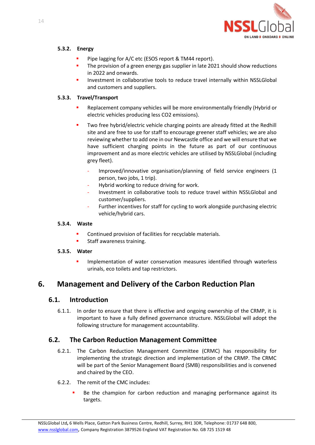

#### <span id="page-14-0"></span>**5.3.2. Energy**

- Pipe lagging for A/C etc (ESOS report & TM44 report).
- The provision of a green energy gas supplier in late 2021 should show reductions in 2022 and onwards.
- Investment in collaborative tools to reduce travel internally within NSSLGlobal and customers and suppliers.

#### <span id="page-14-1"></span>**5.3.3. Travel/Transport**

- Replacement company vehicles will be more environmentally friendly (Hybrid or electric vehicles producing less CO2 emissions).
- Two free hybrid/electric vehicle charging points are already fitted at the Redhill site and are free to use for staff to encourage greener staff vehicles; we are also reviewing whether to add one in our Newcastle office and we will ensure that we have sufficient charging points in the future as part of our continuous improvement and as more electric vehicles are utilised by NSSLGlobal (including grey fleet).
	- Improved/innovative organisation/planning of field service engineers (1 person, two jobs, 1 trip).
	- Hybrid working to reduce driving for work.
	- Investment in collaborative tools to reduce travel within NSSLGlobal and customer/suppliers.
	- Further incentives for staff for cycling to work alongside purchasing electric vehicle/hybrid cars.

#### <span id="page-14-2"></span>**5.3.4. Waste**

- Continued provision of facilities for recyclable materials.
- **■** Staff awareness training.

#### <span id="page-14-3"></span>**5.3.5. Water**

**.** Implementation of water conservation measures identified through waterless urinals, eco toilets and tap restrictors.

# <span id="page-14-5"></span><span id="page-14-4"></span>**6. Management and Delivery of the Carbon Reduction Plan**

## **6.1. Introduction**

6.1.1. In order to ensure that there is effective and ongoing ownership of the CRMP, it is important to have a fully defined governance structure. NSSLGlobal will adopt the following structure for management accountability.

## <span id="page-14-6"></span>**6.2. The Carbon Reduction Management Committee**

- 6.2.1. The Carbon Reduction Management Committee (CRMC) has responsibility for implementing the strategic direction and implementation of the CRMP. The CRMC will be part of the Senior Management Board (SMB) responsibilities and is convened and chaired by the CEO.
- 6.2.2. The remit of the CMC includes:
	- Be the champion for carbon reduction and managing performance against its targets.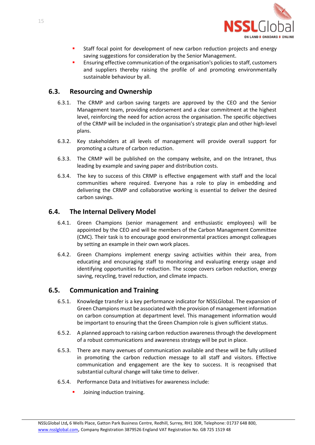

- **■** Staff focal point for development of new carbon reduction projects and energy saving suggestions for consideration by the Senior Management.
- Ensuring effective communication of the organisation's policies to staff, customers and suppliers thereby raising the profile of and promoting environmentally sustainable behaviour by all.

#### <span id="page-15-0"></span>**6.3. Resourcing and Ownership**

- 6.3.1. The CRMP and carbon saving targets are approved by the CEO and the Senior Management team, providing endorsement and a clear commitment at the highest level, reinforcing the need for action across the organisation. The specific objectives of the CRMP will be included in the organisation's strategic plan and other high-level plans.
- 6.3.2. Key stakeholders at all levels of management will provide overall support for promoting a culture of carbon reduction.
- 6.3.3. The CRMP will be published on the company website, and on the Intranet, thus leading by example and saving paper and distribution costs.
- 6.3.4. The key to success of this CRMP is effective engagement with staff and the local communities where required. Everyone has a role to play in embedding and delivering the CRMP and collaborative working is essential to deliver the desired carbon savings.

#### <span id="page-15-1"></span>**6.4. The Internal Delivery Model**

- 6.4.1. Green Champions (senior management and enthusiastic employees) will be appointed by the CEO and will be members of the Carbon Management Committee (CMC). Their task is to encourage good environmental practices amongst colleagues by setting an example in their own work places.
- 6.4.2. Green Champions implement energy saving activities within their area, from educating and encouraging staff to monitoring and evaluating energy usage and identifying opportunities for reduction. The scope covers carbon reduction, energy saving, recycling, travel reduction, and climate impacts.

#### <span id="page-15-2"></span>**6.5. Communication and Training**

- 6.5.1. Knowledge transfer is a key performance indicator for NSSLGlobal. The expansion of Green Champions must be associated with the provision of management information on carbon consumption at department level. This management information would be important to ensuring that the Green Champion role is given sufficient status.
- 6.5.2. A planned approach to raising carbon reduction awareness through the development of a robust communications and awareness strategy will be put in place.
- 6.5.3. There are many avenues of communication available and these will be fully utilised in promoting the carbon reduction message to all staff and visitors. Effective communication and engagement are the key to success. It is recognised that substantial cultural change will take time to deliver.
- 6.5.4. Performance Data and Initiatives for awareness include:
	- Joining induction training.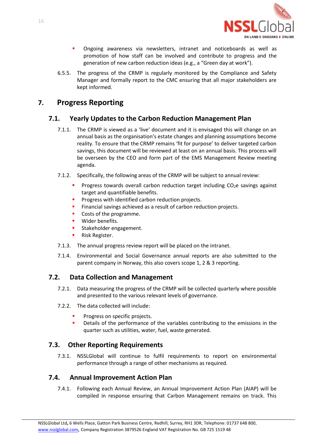

- Ongoing awareness via newsletters, intranet and noticeboards as well as promotion of how staff can be involved and contribute to progress and the generation of new carbon reduction ideas (e.g., a "Green day at work").
- 6.5.5. The progress of the CRMP is regularly monitored by the Compliance and Safety Manager and formally report to the CMC ensuring that all major stakeholders are kept informed.

# <span id="page-16-1"></span><span id="page-16-0"></span>**7. Progress Reporting**

## **7.1. Yearly Updates to the Carbon Reduction Management Plan**

- 7.1.1. The CRMP is viewed as a 'live' document and it is envisaged this will change on an annual basis as the organisation's estate changes and planning assumptions become reality. To ensure that the CRMP remains 'fit for purpose' to deliver targeted carbon savings, this document will be reviewed at least on an annual basis. This process will be overseen by the CEO and form part of the EMS Management Review meeting agenda.
- 7.1.2. Specifically, the following areas of the CRMP will be subject to annual review:
	- **•** Progress towards overall carbon reduction target including CO<sub>2</sub>e savings against target and quantifiable benefits.
	- **•** Progress with identified carbon reduction projects.
	- **·** Financial savings achieved as a result of carbon reduction projects.
	- Costs of the programme.
	- **■** Wider benefits.
	- **■** Stakeholder engagement.
	- Risk Register.
- 7.1.3. The annual progress review report will be placed on the intranet.
- 7.1.4. Environmental and Social Governance annual reports are also submitted to the parent company in Norway, this also covers scope 1, 2 & 3 reporting.

## <span id="page-16-2"></span>**7.2. Data Collection and Management**

- 7.2.1. Data measuring the progress of the CRMP will be collected quarterly where possible and presented to the various relevant levels of governance.
- 7.2.2. The data collected will include:
	- Progress on specific projects.
	- **•** Details of the performance of the variables contributing to the emissions in the quarter such as utilities, water, fuel, waste generated.

## <span id="page-16-3"></span>**7.3. Other Reporting Requirements**

7.3.1. NSSLGlobal will continue to fulfil requirements to report on environmental performance through a range of other mechanisms as required.

# <span id="page-16-4"></span>**7.4. Annual Improvement Action Plan**

7.4.1. Following each Annual Review, an Annual Improvement Action Plan (AIAP) will be compiled in response ensuring that Carbon Management remains on track. This